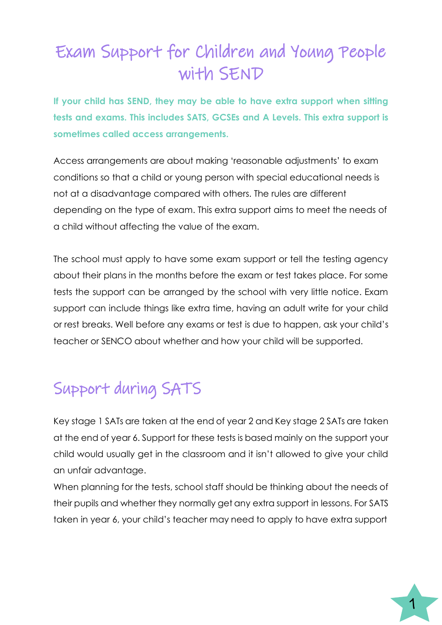# Exam Support for Children and Young People with SEND

**If your child has SEND, they may be able to have extra support when sitting tests and exams. This includes SATS, GCSEs and A Levels. This extra support is sometimes called access arrangements.**

Access arrangements are about making 'reasonable adjustments' to exam conditions so that a child or young person with special educational needs is not at a disadvantage compared with others. The rules are different depending on the type of exam. This extra support aims to meet the needs of a child without affecting the value of the exam.

The school must apply to have some exam support or tell the testing agency about their plans in the months before the exam or test takes place. For some tests the support can be arranged by the school with very little notice. Exam support can include things like extra time, having an adult write for your child or rest breaks. Well before any exams or test is due to happen, ask your child's teacher or SENCO about whether and how your child will be supported.

# Support during SATS

Key stage 1 SATs are taken at the end of year 2 and Key stage 2 SATs are taken at the end of year 6. Support for these tests is based mainly on the support your child would usually get in the classroom and it isn't allowed to give your child an unfair advantage.

When planning for the tests, school staff should be thinking about the needs of their pupils and whether they normally get any extra support in lessons. For SATS taken in year 6, your child's teacher may need to apply to have extra support

1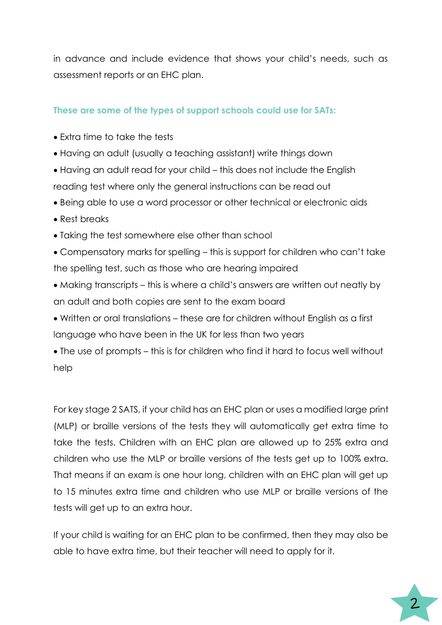in advance and include evidence that shows your child's needs, such as assessment reports or an EHC plan.

### **These are some of the types of support schools could use for SATs:**

- Extra time to take the tests
- Having an adult (usually a teaching assistant) write things down
- Having an adult read for your child this does not include the English reading test where only the general instructions can be read out
- Being able to use a word processor or other technical or electronic aids
- Rest breaks
- Taking the test somewhere else other than school
- Compensatory marks for spelling this is support for children who can't take the spelling test, such as those who are hearing impaired
- Making transcripts this is where a child's answers are written out neatly by an adult and both copies are sent to the exam board
- Written or oral translations these are for children without English as a first language who have been in the UK for less than two years
- The use of prompts this is for children who find it hard to focus well without help

For key stage 2 SATS, if your child has an EHC plan or uses a modified large print (MLP) or braille versions of the tests they will automatically get extra time to take the tests. Children with an EHC plan are allowed up to 25% extra and children who use the MLP or braille versions of the tests get up to 100% extra. That means if an exam is one hour long, children with an EHC plan will get up to 15 minutes extra time and children who use MLP or braille versions of the tests will get up to an extra hour.

If your child is waiting for an EHC plan to be confirmed, then they may also be able to have extra time, but their teacher will need to apply for it.

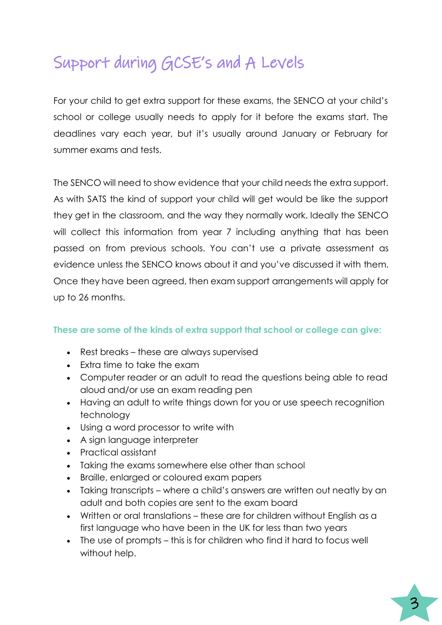## Support during GCSE's and A Levels

For your child to get extra support for these exams, the SENCO at your child's school or college usually needs to apply for it before the exams start. The deadlines vary each year, but it's usually around January or February for summer exams and tests.

The SENCO will need to show evidence that your child needs the extra support. As with SATS the kind of support your child will get would be like the support they get in the classroom, and the way they normally work. Ideally the SENCO will collect this information from year 7 including anything that has been passed on from previous schools. You can't use a private assessment as evidence unless the SENCO knows about it and you've discussed it with them. Once they have been agreed, then exam support arrangements will apply for up to 26 months.

### **These are some of the kinds of extra support that school or college can give:**

- Rest breaks these are always supervised
- Extra time to take the exam
- Computer reader or an adult to read the questions being able to read aloud and/or use an exam reading pen
- Having an adult to write things down for you or use speech recognition technology
- Using a word processor to write with
- A sign language interpreter
- Practical assistant
- Taking the exams somewhere else other than school
- Braille, enlarged or coloured exam papers
- Taking transcripts where a child's answers are written out neatly by an adult and both copies are sent to the exam board
- Written or oral translations these are for children without English as a first language who have been in the UK for less than two years
- The use of prompts this is for children who find it hard to focus well without help.

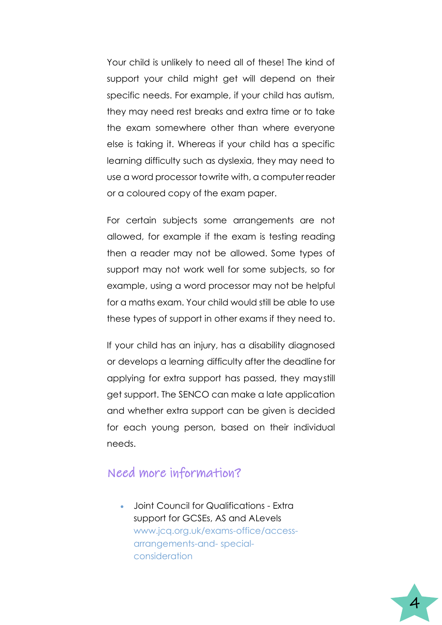Your child is unlikely to need all of these! The kind of support your child might get will depend on their specific needs. For example, if your child has autism, they may need rest breaks and extra time or to take the exam somewhere other than where everyone else is taking it. Whereas if your child has a specific learning difficulty such as dyslexia, they may need to use a word processor to write with, a computer reader or a coloured copy of the exam paper.

For certain subjects some arrangements are not allowed, for example if the exam is testing reading then a reader may not be allowed. Some types of support may not work well for some subjects, so for example, using a word processor may not be helpful for a maths exam. Your child would still be able to use these types of support in other exams if they need to.

If your child has an injury, has a disability diagnosed or develops a learning difficulty after the deadline for applying for extra support has passed, they maystill get support. The SENCO can make a late application and whether extra support can be given is decided for each young person, based on their individual needs.

### Need more information?

• Joint Council for Qualifications - Extra support for GCSEs, AS and ALevels [www.jcq.org.uk/exams-office/access](http://www.jcq.org.uk/exams-office/access-)arrangements-and- specialconsideration

4